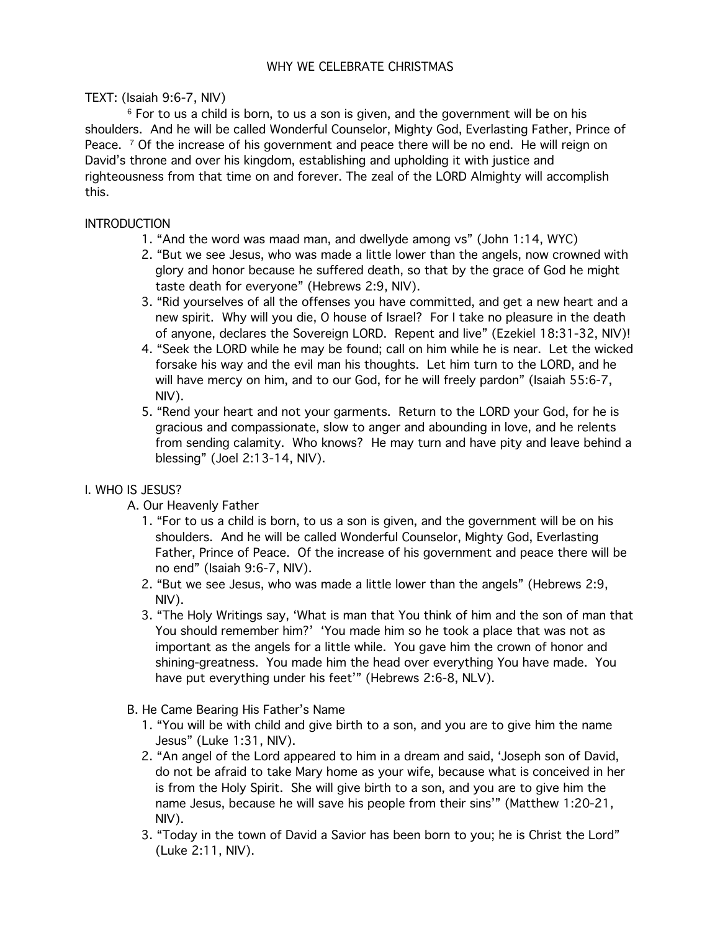TEXT: (Isaiah 9:6-7, NIV)

<sup>6</sup> For to us a child is born, to us a son is given, and the government will be on his shoulders. And he will be called Wonderful Counselor, Mighty God, Everlasting Father, Prince of Peace.  $\frac{7}{1}$  Of the increase of his government and peace there will be no end. He will reign on David's throne and over his kingdom, establishing and upholding it with justice and righteousness from that time on and forever. The zeal of the LORD Almighty will accomplish this.

## **INTRODUCTION**

- 1. "And the word was maad man, and dwellyde among vs" (John 1:14, WYC)
- 2. "But we see Jesus, who was made a little lower than the angels, now crowned with glory and honor because he suffered death, so that by the grace of God he might taste death for everyone" (Hebrews 2:9, NIV).
- 3. "Rid yourselves of all the offenses you have committed, and get a new heart and a new spirit. Why will you die, O house of Israel? For I take no pleasure in the death of anyone, declares the Sovereign LORD. Repent and live" (Ezekiel 18:31-32, NIV)!
- 4. "Seek the LORD while he may be found; call on him while he is near. Let the wicked forsake his way and the evil man his thoughts. Let him turn to the LORD, and he will have mercy on him, and to our God, for he will freely pardon" (Isaiah 55:6-7, NIV).
- 5. "Rend your heart and not your garments. Return to the LORD your God, for he is gracious and compassionate, slow to anger and abounding in love, and he relents from sending calamity. Who knows? He may turn and have pity and leave behind a blessing" (Joel 2:13-14, NIV).

## I. WHO IS JESUS?

- A. Our Heavenly Father
	- 1. "For to us a child is born, to us a son is given, and the government will be on his shoulders. And he will be called Wonderful Counselor, Mighty God, Everlasting Father, Prince of Peace. Of the increase of his government and peace there will be no end" (Isaiah 9:6-7, NIV).
	- 2. "But we see Jesus, who was made a little lower than the angels" (Hebrews 2:9, NIV).
	- 3. "The Holy Writings say, 'What is man that You think of him and the son of man that You should remember him?' 'You made him so he took a place that was not as important as the angels for a little while. You gave him the crown of honor and shining-greatness. You made him the head over everything You have made. You have put everything under his feet'" (Hebrews 2:6-8, NLV).
- B. He Came Bearing His Father's Name
	- 1. "You will be with child and give birth to a son, and you are to give him the name Jesus" (Luke 1:31, NIV).
	- 2. "An angel of the Lord appeared to him in a dream and said, 'Joseph son of David, do not be afraid to take Mary home as your wife, because what is conceived in her is from the Holy Spirit. She will give birth to a son, and you are to give him the name Jesus, because he will save his people from their sins'" (Matthew 1:20-21, NIV).
	- 3. "Today in the town of David a Savior has been born to you; he is Christ the Lord" (Luke 2:11, NIV).